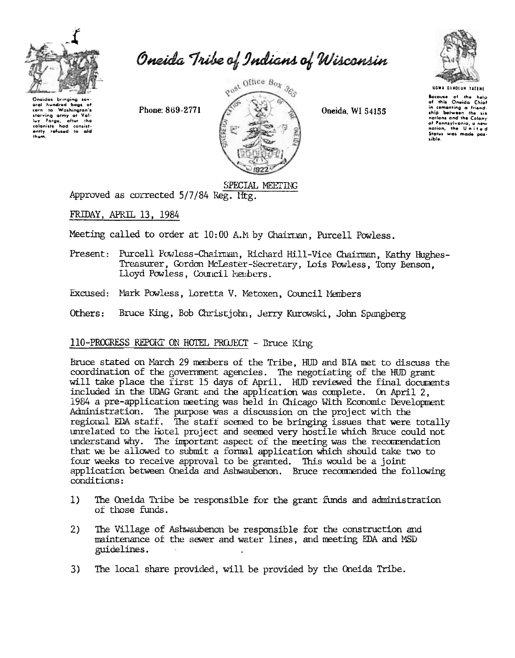

Oneida Tribe of Indians of Wisconsin

Onoidos bringing so aral hundred bags of to Washington's corn starving army at Val-<br>luy Forge, after the<br>colonists had consist-<br>ently refused to aid thom.

Phone: 869-2771



Oneida, WI 54155



**UGWA DENOLUN TATENE** 

Bocause of the help<br>of this Oneida Chief in cementing a friend.<br>ship between the six nations and the Calony of Pennsylvania, a new<br>nation, the United Status was made possible.

# SPECIAL MEETING

Approved as corrected 5/7/84 Reg. Iftg.

FRIDAY, APRIL 13, 1984

Meeting called to order at 10:00 A.M by Chairman, Purcell Powless.

- Present: Purcell Powless-Chairman, Richard Hill-Vice Chairman, Kathy Hughes-Treasurer, Gordon McLester-Secretary, Lois Powless, Tony Benson, Lloyd Powless, Council Members.
- Excused: Mark Powless, Loretta V. Metoxen, Council Members
- Others: Bruce King, Bob Christjohn, Jerry Kurowski, John Spangberg

# 110-PROGRESS REPORT ON HOTEL PROJECT - Bruce King

Bruce stated on March 29 members of the Tribe, HUD and BIA met to discuss the coordination of the government agencies. The negotiating of the HUD grant<br>will take place the first 15 days of April. HUD reviewed the final documents included in the UDAG Grant and the application was complete. On April 2, 1984 a pre-application meeting was held in Chicago With Economic Development Administration. The purpose was a discussion on the project with the regional EDA staff. The staff seemed to be bringing issues that were totally unrelated to the Hotel project and seemed very hostile which Bruce could not understand why. The important aspect of the meeting was the recommendation that we be allowed to submit a formal application which should take two to four weeks to receive approval to be granted. This would be a joint application between Oneida and Ashwaubenon. Bruce recommended the following conditions:

- $1)$ The Oneida Tribe be responsible for the grant funds and administration of those funds.
- $2)$ The Village of Ashwaubenon be responsible for the construction and maintenance of the sewer and water lines, and meeting EDA and MSD guidelines.
- The local share provided, will be provided by the Oneida Tribe.  $3)$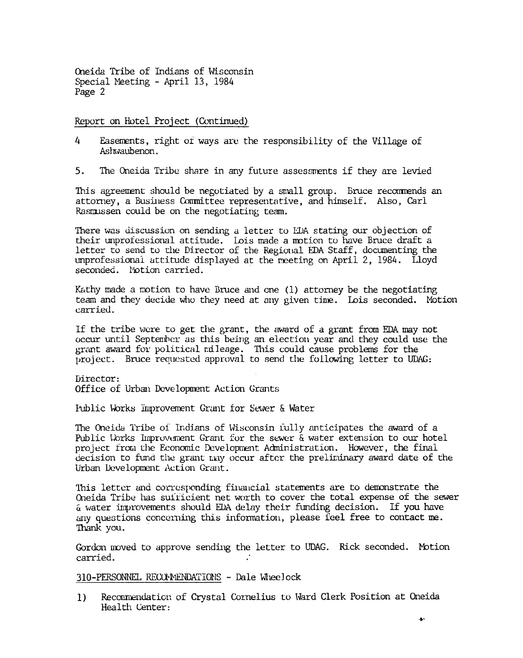Oneida Tribe of Indians of Wisconsin Special Meeting - April 13, 1984 Page 2

Report on Hotel Project (Continued)

- $\overline{4}$ Easements, right of ways are the responsibility of the Village of Ashwaubenon.
- $5<sub>1</sub>$ The Oneida Tribe share in any future assessments if they are levied

This agreement should be negotiated by a small group. Bruce recommends an attorney, a Business Committee representative, and himself. Also, Carl Rasmussen could be on the negotiating team.

There was discussion on sending a letter to EDA stating our objection of their unprofessional attitude. Lois made a motion to have Bruce draft a letter to send to the Director of the Regional EDA Staff, documenting the unprofessional attitude displayed at the meeting on April 2, 1984. Lloyd seconded. Notion carried.

Kathy made a motion to have Bruce and one (1) attorney be the negotiating team and they decide who they need at any given time. Lois seconded. Motion carried.

If the tribe were to get the grant, the award of a grant from EDA may not occur until September as this being an election year and they could use the grant award for political mileage. This could cause problems for the project. Bruce requested approval to send the following letter to UDAG:

Director:

Office of Urban Development Action Grants

Public Works Improvement Grant for Sewer & Water

The Oneida Tribe of Indians of Wisconsin fully anticipates the award of a Public Works Improvement Grant for the sewer & water extension to our hotel project from the Economic Development Administration. However, the final decision to fund the grant two occur after the preliminary award date of the Urban Development Action Grant.

This letter and corresponding financial statements are to demonstrate the Oneida Tribe has suifficient net worth to cover the total expense of the sewer & water improvements should EDA delay their funding decision. If you have any questions concerning this information, please feel free to contact me. Thank you.

Gordon moved to approve sending the letter to UDAG. Rick seconded. Motion carried.

310-PERSONNEL RECOMMENDATIONS - Dale Wheelock

 $1)$ Recommendation of Crystal Cornelius to Ward Clerk Position at Oneida Health Center: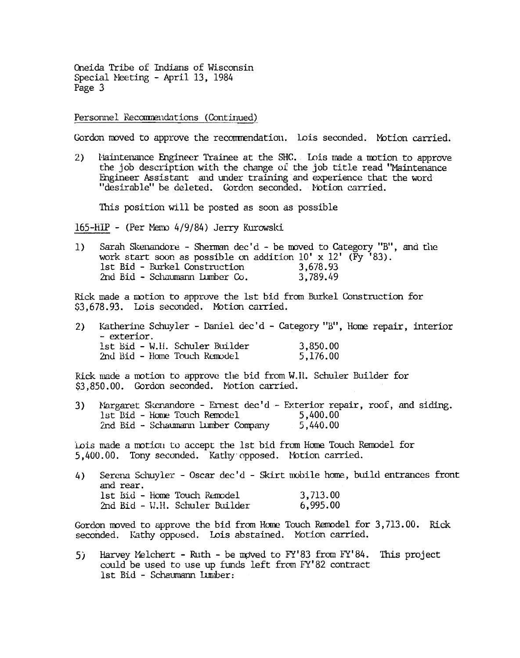Oneida Tribe of Indians of Wisconsin Special Neeting - April 13, 1984 Page 3

Personnel Recommendations (Continued)

Gordon moved to approve the recommendation. Lois seconded. Motion carried.

Maintenance Engineer Trainee at the SHC. Lois made a motion to approve  $2)$ the job description with the change of the job title read "Maintenance Engineer Assistant and under training and experience that the word "desirable" be deleted. Gordon seconded. Notion carried.

This position will be posted as soon as possible

165-HIP - (Per Memo 4/9/84) Jerry Kurowski

Sarah Skenandore - Sherman dec'd - be moved to Category "B", and the  $1)$ work start soon as possible on addition  $10' \times 12'$  (Fy '83). 1st Bid - Burkel Construction 3.678.93 2nd Bid - Schaumann Lumber Co. 3,789.49

Rick made a motion to approve the 1st bid from Burkel Construction for \$3,678.93. Lois seconded. Motion carried.

|  | 2) Katherine Schuyler - Daniel dec'd - Category "B", Home repair, interior |          |  |
|--|----------------------------------------------------------------------------|----------|--|
|  | - exterior.                                                                |          |  |
|  | 1st Bid - W.H. Schuler Builder                                             | 3,850.00 |  |
|  | 2nd Bid - Home Touch Remodel                                               | 5,176.00 |  |

Rick made a motion to approve the bid from W.II. Schuler Builder for \$3,850.00. Gordon seconded. Motion carried.

Nargaret Skenandore - Ernest dec'd - Exterior repair, roof, and siding. 3) 1st Bid - Home Touch Remodel 5,400.00 2nd Bid - Schaumann Lumber Company 5,440.00

Lois made a motion to accept the 1st bid from Home Touch Remodel for 5,400.00. Tony seconded. Kathy opposed. Motion carried.

Serena Schuyler - Oscar dec'd - Skirt mobile home, build entrances front 4) and rear. 1st Bid - Home Touch Remodel 3,713.00 2nd Bid - W.H. Schuler Builder 6,995.00

Gordon moved to approve the bid from Home Touch Remodel for 3,713.00. Rick seconded. Kathy opposed. Lois abstained. Motion carried.

Harvey Melchert - Ruth - be moved to  $FY'83$  from  $FY'84$ . This project  $5)$ could be used to use up funds left from FY'82 contract 1st Bid - Schaumann Lumber: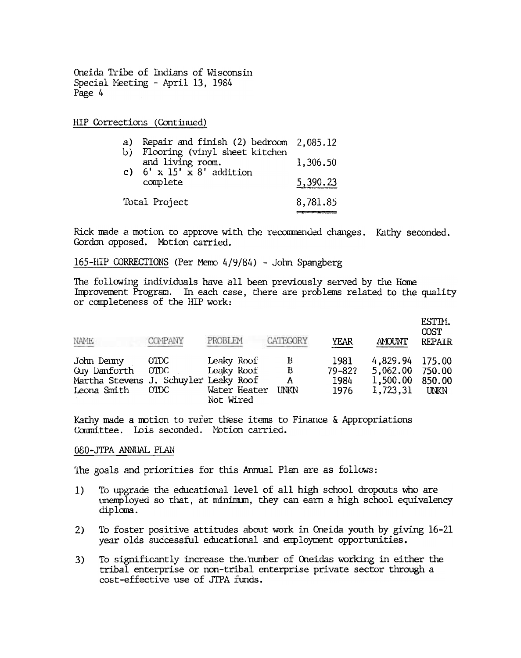Oneida Tribe of Indians of Wisconsin Special Meeting - April 13, 1984 Page 4

HIP Corrections (Continued)

| a)<br>b)      | Repair and finish (2) bedroom<br>Flooring (vinyl sheet kitchen | 2,085.12 |
|---------------|----------------------------------------------------------------|----------|
|               | and living room.                                               | 1,306.50 |
|               | c) $6' \times 15' \times 8'$ addition<br>complete              | 5,390.23 |
| Total Project | 8,781.85                                                       |          |

Rick made a motion to approve with the recommended changes. Kathy seconded. Gordon opposed. Motion carried.

165-HIP CORRECTIONS (Per Memo 4/9/84) - John Spangberg

The following individuals have all been previously served by the Home Improvement Program. In each case, there are problems related to the quality or completeness of the HIP work:

| NAME                                                                               | COMPANY                         | PROBLEM                                               | CATEGORY                   | <b>YEAR</b>                        | <b>AMOUNT</b>                                | ESTIM.<br><b>COST</b><br><b>REPAIR</b>    |
|------------------------------------------------------------------------------------|---------------------------------|-------------------------------------------------------|----------------------------|------------------------------------|----------------------------------------------|-------------------------------------------|
| John Denny<br>Guy Danforth<br>Martha Stevens J. Schuyler Leaky Roof<br>Leona Smith | OTDC<br>$_{\rm O TDC}$<br>OTDC. | Leaky Roof<br>Leaky Roof<br>Water Heater<br>Not Wired | В<br>B<br>A<br><b>UNKN</b> | 1981<br>$79 - 82?$<br>1984<br>1976 | 4,829.94<br>5,062.00<br>1,500.00<br>1,723,31 | 175.00<br>750.00<br>850.00<br><b>UNKN</b> |

Kathy made a motion to refer these items to Finance & Appropriations Committee. Lois seconded. Notion carried.

#### 080-JTPA ANNUAL PLAN

The goals and priorities for this Annual Plan are as follows:

- To upgrade the educational level of all high school dropouts who are  $1)$ unemployed so that, at minimum, they can earn a high school equivalency diploma.
- To foster positive attitudes about work in Oneida youth by giving 16-21  $2)$ year olds successful educational and employment opportunities.
- To significantly increase the number of Oneidas working in either the 3) tribal enterprise or non-tribal enterprise private sector through a cost-effective use of JTPA funds.